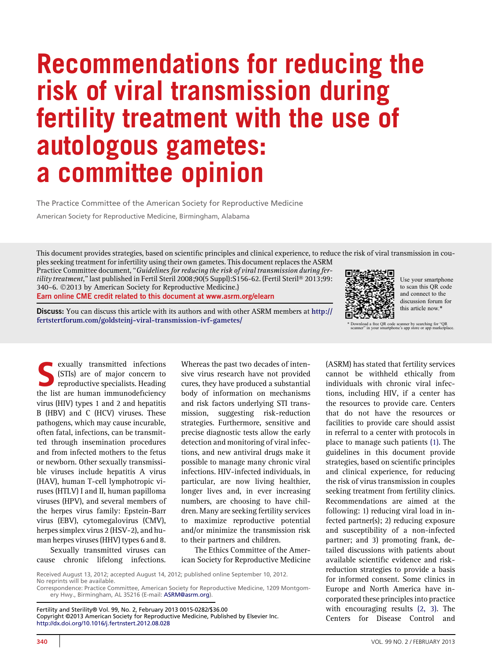# Recommendations for reducing the risk of viral transmission during fertility treatment with the use of autologous gametes: a committee opinion

The Practice Committee of the American Society for Reproductive Medicine

American Society for Reproductive Medicine, Birmingham, Alabama

This document provides strategies, based on scientific principles and clinical experience, to reduce the risk of viral transmission in cou-

ples seeking treatment for infertility using their own gametes. This document replaces the ASRM Practice Committee document, ''Guidelines for reducing the risk of viral transmission during fertility treatment," last published in Fertil Steril 2008;90(5 Suppl):S156-62. (Fertil Steril® 2013;99: 340–6. 2013 by American Society for Reproductive Medicine.) Earn online CME credit related to this document at [www.asrm.org/elearn](http://www.asrm.org/elearn)



Use your smartphone to scan this QR code and connect to the discussion forum for this article now.\*

Discuss: You can discuss this article with its authors and with other ASRM members at [http://](http://fertstertforum.com/goldsteinj-viral-transmission-ivf-gametes/) [fertstertforum.com/goldsteinj-viral-transmission-ivf-gametes/](http://fertstertforum.com/goldsteinj-viral-transmission-ivf-gametes/)

\* Download a free QR code scanner by searching for "QR scanner" in your smartphone's app store or app marketplace.

exually transmitted infections (STIs) are of major concern to reproductive specialists. Heading the list are human immunodeficiency virus (HIV) types 1 and 2 and hepatitis B (HBV) and C (HCV) viruses. These pathogens, which may cause incurable, often fatal, infections, can be transmitted through insemination procedures and from infected mothers to the fetus or newborn. Other sexually transmissible viruses include hepatitis A virus (HAV), human T-cell lymphotropic viruses (HTLV) I and II, human papilloma viruses (HPV), and several members of the herpes virus family: Epstein-Barr virus (EBV), cytomegalovirus (CMV), herpes simplex virus 2 (HSV-2), and human herpes viruses (HHV) types 6 and 8.

Sexually transmitted viruses can cause chronic lifelong infections.

Whereas the past two decades of intensive virus research have not provided cures, they have produced a substantial body of information on mechanisms and risk factors underlying STI transmission, suggesting risk-reduction strategies. Furthermore, sensitive and precise diagnostic tests allow the early detection and monitoring of viral infections, and new antiviral drugs make it possible to manage many chronic viral infections. HIV-infected individuals, in particular, are now living healthier, longer lives and, in ever increasing numbers, are choosing to have children. Many are seeking fertility services to maximize reproductive potential and/or minimize the transmission risk to their partners and children.

The Ethics Committee of the American Society for Reproductive Medicine

Received August 13, 2012; accepted August 14, 2012; published online September 10, 2012. No reprints will be available.

Correspondence: Practice Committee, American Society for Reproductive Medicine, 1209 Montgom-ery Hwy., Birmingham, AL 35216 (E-mail: [ASRM@asrm.org](mailto:ASRM@asrm.org)).

Fertility and Sterility® Vol. 99, No. 2, February 2013 0015-0282/\$36.00 Copyright ©2013 American Society for Reproductive Medicine, Published by Elsevier Inc. <http://dx.doi.org/10.1016/j.fertnstert.2012.08.028>

(ASRM) has stated that fertility services cannot be withheld ethically from individuals with chronic viral infections, including HIV, if a center has the resources to provide care. Centers that do not have the resources or facilities to provide care should assist in referral to a center with protocols in place to manage such patients [\(1\).](#page-5-0) The guidelines in this document provide strategies, based on scientific principles and clinical experience, for reducing the risk of virus transmission in couples seeking treatment from fertility clinics. Recommendations are aimed at the following: 1) reducing viral load in infected partner(s); 2) reducing exposure and susceptibility of a non-infected partner; and 3) promoting frank, detailed discussions with patients about available scientific evidence and riskreduction strategies to provide a basis for informed consent. Some clinics in Europe and North America have incorporated these principles into practice with encouraging results [\(2, 3\)](#page-5-0). The Centers for Disease Control and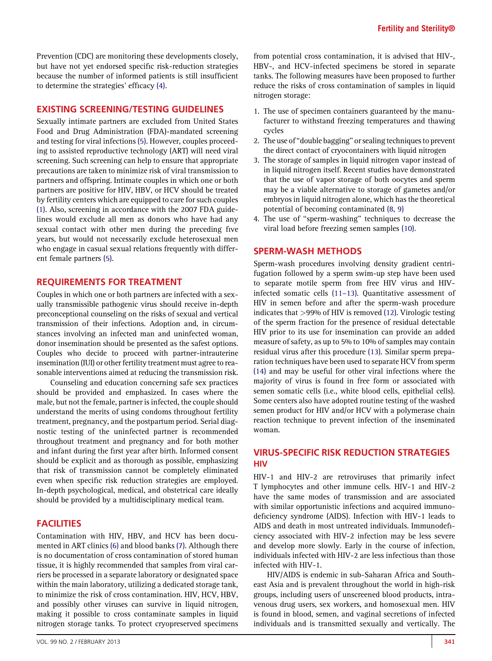Prevention (CDC) are monitoring these developments closely, but have not yet endorsed specific risk-reduction strategies because the number of informed patients is still insufficient to determine the strategies' efficacy [\(4\)](#page-5-0).

### EXISTING SCREENING/TESTING GUIDELINES

Sexually intimate partners are excluded from United States Food and Drug Administration (FDA)-mandated screening and testing for viral infections [\(5\)](#page-5-0). However, couples proceeding to assisted reproductive technology (ART) will need viral screening. Such screening can help to ensure that appropriate precautions are taken to minimize risk of viral transmission to partners and offspring. Intimate couples in which one or both partners are positive for HIV, HBV, or HCV should be treated by fertility centers which are equipped to care for such couples [\(1\).](#page-5-0) Also, screening in accordance with the 2007 FDA guidelines would exclude all men as donors who have had any sexual contact with other men during the preceding five years, but would not necessarily exclude heterosexual men who engage in casual sexual relations frequently with different female partners [\(5\).](#page-5-0)

#### REQUIREMENTS FOR TREATMENT

Couples in which one or both partners are infected with a sexually transmissible pathogenic virus should receive in-depth preconceptional counseling on the risks of sexual and vertical transmission of their infections. Adoption and, in circumstances involving an infected man and uninfected woman, donor insemination should be presented as the safest options. Couples who decide to proceed with partner-intrauterine insemination (IUI) or other fertility treatment must agree to reasonable interventions aimed at reducing the transmission risk.

Counseling and education concerning safe sex practices should be provided and emphasized. In cases where the male, but not the female, partner is infected, the couple should understand the merits of using condoms throughout fertility treatment, pregnancy, and the postpartum period. Serial diagnostic testing of the uninfected partner is recommended throughout treatment and pregnancy and for both mother and infant during the first year after birth. Informed consent should be explicit and as thorough as possible, emphasizing that risk of transmission cannot be completely eliminated even when specific risk reduction strategies are employed. In-depth psychological, medical, and obstetrical care ideally should be provided by a multidisciplinary medical team.

## **FACILITIES**

Contamination with HIV, HBV, and HCV has been documented in ART clinics [\(6\)](#page-5-0) and blood banks [\(7\).](#page-5-0) Although there is no documentation of cross contamination of stored human tissue, it is highly recommended that samples from viral carriers be processed in a separate laboratory or designated space within the main laboratory, utilizing a dedicated storage tank, to minimize the risk of cross contamination. HIV, HCV, HBV, and possibly other viruses can survive in liquid nitrogen, making it possible to cross contaminate samples in liquid nitrogen storage tanks. To protect cryopreserved specimens from potential cross contamination, it is advised that HIV-, HBV-, and HCV-infected specimens be stored in separate tanks. The following measures have been proposed to further reduce the risks of cross contamination of samples in liquid nitrogen storage:

- 1. The use of specimen containers guaranteed by the manufacturer to withstand freezing temperatures and thawing cycles
- 2. The use of''double bagging'' or sealing techniques to prevent the direct contact of cryocontainers with liquid nitrogen
- 3. The storage of samples in liquid nitrogen vapor instead of in liquid nitrogen itself. Recent studies have demonstrated that the use of vapor storage of both oocytes and sperm may be a viable alternative to storage of gametes and/or embryos in liquid nitrogen alone, which has the theoretical potential of becoming contaminated [\(8, 9\)](#page-5-0)
- 4. The use of ''sperm-washing'' techniques to decrease the viral load before freezing semen samples [\(10\)](#page-5-0).

#### SPERM-WASH METHODS

Sperm-wash procedures involving density gradient centrifugation followed by a sperm swim-up step have been used to separate motile sperm from free HIV virus and HIVinfected somatic cells (11–[13\)](#page-5-0). Quantitative assessment of HIV in semen before and after the sperm-wash procedure indicates that >99% of HIV is removed [\(12\)](#page-5-0). Virologic testing of the sperm fraction for the presence of residual detectable HIV prior to its use for insemination can provide an added measure of safety, as up to 5% to 10% of samples may contain residual virus after this procedure [\(13\).](#page-6-0) Similar sperm preparation techniques have been used to separate HCV from sperm [\(14\)](#page-6-0) and may be useful for other viral infections where the majority of virus is found in free form or associated with semen somatic cells (i.e., white blood cells, epithelial cells). Some centers also have adopted routine testing of the washed semen product for HIV and/or HCV with a polymerase chain reaction technique to prevent infection of the inseminated woman.

## VIRUS-SPECIFIC RISK REDUCTION STRATEGIES **HIV**

HIV-1 and HIV-2 are retroviruses that primarily infect T lymphocytes and other immune cells. HIV-1 and HIV-2 have the same modes of transmission and are associated with similar opportunistic infections and acquired immunodeficiency syndrome (AIDS). Infection with HIV-1 leads to AIDS and death in most untreated individuals. Immunodeficiency associated with HIV-2 infection may be less severe and develop more slowly. Early in the course of infection, individuals infected with HIV-2 are less infectious than those infected with HIV-1.

HIV/AIDS is endemic in sub-Saharan Africa and Southeast Asia and is prevalent throughout the world in high-risk groups, including users of unscreened blood products, intravenous drug users, sex workers, and homosexual men. HIV is found in blood, semen, and vaginal secretions of infected individuals and is transmitted sexually and vertically. The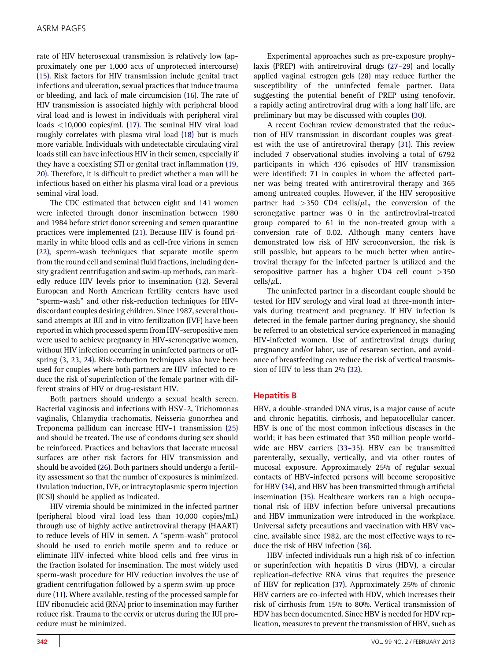rate of HIV heterosexual transmission is relatively low (approximately one per 1,000 acts of unprotected intercourse) [\(15\).](#page-6-0) Risk factors for HIV transmission include genital tract infections and ulceration, sexual practices that induce trauma or bleeding, and lack of male circumcision [\(16\)](#page-6-0). The rate of HIV transmission is associated highly with peripheral blood viral load and is lowest in individuals with peripheral viral loads <10,000 copies/mL [\(17\)](#page-6-0). The seminal HIV viral load roughly correlates with plasma viral load [\(18\)](#page-6-0) but is much more variable. Individuals with undetectable circulating viral loads still can have infectious HIV in their semen, especially if they have a coexisting STI or genital tract inflammation [\(19,](#page-6-0) [20\)](#page-6-0). Therefore, it is difficult to predict whether a man will be infectious based on either his plasma viral load or a previous seminal viral load.

The CDC estimated that between eight and 141 women were infected through donor insemination between 1980 and 1984 before strict donor screening and semen quarantine practices were implemented [\(21\)](#page-6-0). Because HIV is found primarily in white blood cells and as cell-free virions in semen [\(22\),](#page-6-0) sperm-wash techniques that separate motile sperm from the round cell and seminal fluid fractions, including density gradient centrifugation and swim-up methods, can markedly reduce HIV levels prior to insemination [\(12\)](#page-5-0). Several European and North American fertility centers have used ''sperm-wash'' and other risk-reduction techniques for HIVdiscordant couples desiring children. Since 1987, several thousand attempts at IUI and in vitro fertilization (IVF) have been reported in which processed sperm from HIV-seropositive men were used to achieve pregnancy in HIV-seronegative women, without HIV infection occurring in uninfected partners or offspring [\(3, 23, 24\)](#page-5-0). Risk-reduction techniques also have been used for couples where both partners are HIV-infected to reduce the risk of superinfection of the female partner with different strains of HIV or drug-resistant HIV.

Both partners should undergo a sexual health screen. Bacterial vaginosis and infections with HSV-2, Trichomonas vaginalis, Chlamydia trachomatis, Neisseria gonorrhea and Treponema pallidum can increase HIV-1 transmission [\(25\)](#page-6-0) and should be treated. The use of condoms during sex should be reinforced. Practices and behaviors that lacerate mucosal surfaces are other risk factors for HIV transmission and should be avoided [\(26\)](#page-6-0). Both partners should undergo a fertility assessment so that the number of exposures is minimized. Ovulation induction, IVF, or intracytoplasmic sperm injection (ICSI) should be applied as indicated.

HIV viremia should be minimized in the infected partner (peripheral blood viral load less than 10,000 copies/mL) through use of highly active antiretroviral therapy (HAART) to reduce levels of HIV in semen. A ''sperm-wash'' protocol should be used to enrich motile sperm and to reduce or eliminate HIV-infected white blood cells and free virus in the fraction isolated for insemination. The most widely used sperm-wash procedure for HIV reduction involves the use of gradient centrifugation followed by a sperm swim-up procedure [\(11\).](#page-5-0) Where available, testing of the processed sample for HIV ribonucleic acid (RNA) prior to insemination may further reduce risk. Trauma to the cervix or uterus during the IUI procedure must be minimized.

Experimental approaches such as pre-exposure prophylaxis (PREP) with antiretroviral drugs (27–[29\)](#page-6-0) and locally applied vaginal estrogen gels [\(28\)](#page-6-0) may reduce further the susceptibility of the uninfected female partner. Data suggesting the potential benefit of PREP using tenofovir, a rapidly acting antiretroviral drug with a long half life, are preliminary but may be discussed with couples [\(30\)](#page-6-0).

A recent Cochran review demonstrated that the reduction of HIV transmission in discordant couples was greatest with the use of antiretroviral therapy [\(31\)](#page-6-0). This review included 7 observational studies involving a total of 6792 participants in which 436 episodes of HIV transmission were identified: 71 in couples in whom the affected partner was being treated with antiretroviral therapy and 365 among untreated couples. However, if the HIV seropositive partner had >350 CD4 cells/ $\mu$ L, the conversion of the seronegative partner was 0 in the antiretroviral-treated group compared to 61 in the non-treated group with a conversion rate of 0.02. Although many centers have demonstrated low risk of HIV seroconversion, the risk is still possible, but appears to be much better when antiretroviral therapy for the infected partner is utilized and the seropositive partner has a higher CD4 cell count >350 cells/ $\mu$ L.

The uninfected partner in a discordant couple should be tested for HIV serology and viral load at three-month intervals during treatment and pregnancy. If HIV infection is detected in the female partner during pregnancy, she should be referred to an obstetrical service experienced in managing HIV-infected women. Use of antiretroviral drugs during pregnancy and/or labor, use of cesarean section, and avoidance of breastfeeding can reduce the risk of vertical transmission of HIV to less than 2% [\(32\).](#page-6-0)

## Hepatitis B

HBV, a double-stranded DNA virus, is a major cause of acute and chronic hepatitis, cirrhosis, and hepatocellular cancer. HBV is one of the most common infectious diseases in the world; it has been estimated that 350 million people worldwide are HBV carriers [\(33](#page-6-0)–35). HBV can be transmitted parenterally, sexually, vertically, and via other routes of mucosal exposure. Approximately 25% of regular sexual contacts of HBV-infected persons will become seropositive for HBV [\(34\),](#page-6-0) and HBV has been transmitted through artificial insemination [\(35\).](#page-6-0) Healthcare workers ran a high occupational risk of HBV infection before universal precautions and HBV immunization were introduced in the workplace. Universal safety precautions and vaccination with HBV vaccine, available since 1982, are the most effective ways to reduce the risk of HBV infection [\(36\).](#page-6-0)

HBV-infected individuals run a high risk of co-infection or superinfection with hepatitis D virus (HDV), a circular replication-defective RNA virus that requires the presence of HBV for replication [\(37\)](#page-6-0). Approximately 25% of chronic HBV carriers are co-infected with HDV, which increases their risk of cirrhosis from 15% to 80%. Vertical transmission of HDV has been documented. Since HBV is needed for HDV replication, measures to prevent the transmission of HBV, such as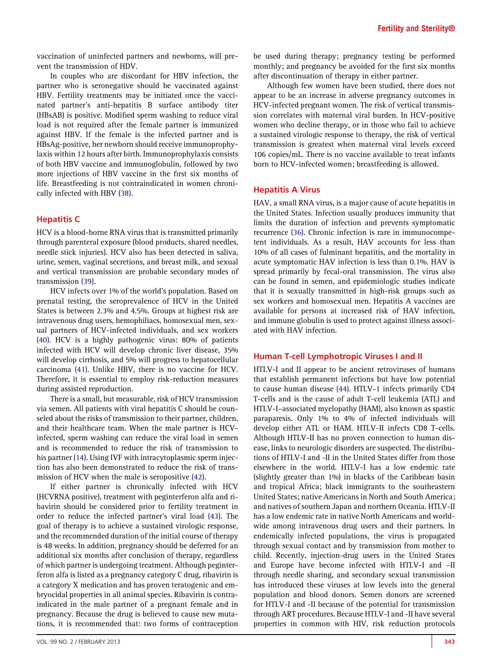vaccination of uninfected partners and newborns, will prevent the transmission of HDV.

In couples who are discordant for HBV infection, the partner who is seronegative should be vaccinated against HBV. Fertility treatments may be initiated once the vaccinated partner's anti-hepatitis B surface antibody titer (HBsAB) is positive. Modified sperm washing to reduce viral load is not required after the female partner is immunized against HBV. If the female is the infected partner and is HBsAg-positive, her newborn should receive immunoprophylaxis within 12 hours after birth. Immunoprophylaxis consists of both HBV vaccine and immunoglobulin, followed by two more injections of HBV vaccine in the first six months of life. Breastfeeding is not contraindicated in women chronically infected with HBV [\(38\).](#page-6-0)

#### Hepatitis C

HCV is a blood-borne RNA virus that is transmitted primarily through parenteral exposure (blood products, shared needles, needle stick injuries). HCV also has been detected in saliva, urine, semen, vaginal secretions, and breast milk, and sexual and vertical transmission are probable secondary modes of transmission [\(39\).](#page-6-0)

HCV infects over 1% of the world's population. Based on prenatal testing, the seroprevalence of HCV in the United States is between 2.3% and 4.5%. Groups at highest risk are intravenous drug users, hemophiliacs, homosexual men, sexual partners of HCV-infected individuals, and sex workers [\(40\).](#page-6-0) HCV is a highly pathogenic virus: 80% of patients infected with HCV will develop chronic liver disease, 35% will develop cirrhosis, and 5% will progress to hepatocellular carcinoma [\(41\)](#page-6-0). Unlike HBV, there is no vaccine for HCV. Therefore, it is essential to employ risk-reduction measures during assisted reproduction.

There is a small, but measurable, risk of HCV transmission via semen. All patients with viral hepatitis C should be counseled about the risks of transmission to their partner, children, and their healthcare team. When the male partner is HCVinfected, sperm washing can reduce the viral load in semen and is recommended to reduce the risk of transmission to his partner [\(14\).](#page-6-0) Using IVF with intracytoplasmic sperm injection has also been demonstrated to reduce the risk of transmission of HCV when the male is seropositive [\(42\)](#page-6-0).

If either partner is chronically infected with HCV (HCVRNA positive), treatment with peginterferon alfa and ribavirin should be considered prior to fertility treatment in order to reduce the infected partner's viral load [\(43\)](#page-6-0). The goal of therapy is to achieve a sustained virologic response, and the recommended duration of the initial course of therapy is 48 weeks. In addition, pregnancy should be deferred for an additional six months after conclusion of therapy, regardless of which partner is undergoing treatment. Although peginterferon alfa is listed as a pregnancy category C drug, ribavirin is a category X medication and has proven teratogenic and embryocidal properties in all animal species. Ribavirin is contraindicated in the male partner of a pregnant female and in pregnancy. Because the drug is believed to cause new mutations, it is recommended that: two forms of contraception

be used during therapy; pregnancy testing be performed monthly; and pregnancy be avoided for the first six months after discontinuation of therapy in either partner.

Although few women have been studied, there does not appear to be an increase in adverse pregnancy outcomes in HCV-infected pregnant women. The risk of vertical transmission correlates with maternal viral burden. In HCV-positive women who decline therapy, or in those who fail to achieve a sustained virologic response to therapy, the risk of vertical transmission is greatest when maternal viral levels exceed 106 copies/mL. There is no vaccine available to treat infants born to HCV-infected women; breastfeeding is allowed.

#### Hepatitis A Virus

HAV, a small RNA virus, is a major cause of acute hepatitis in the United States. Infection usually produces immunity that limits the duration of infection and prevents symptomatic recurrence [\(36\).](#page-6-0) Chronic infection is rare in immunocompetent individuals. As a result, HAV accounts for less than 10% of all cases of fulminant hepatitis, and the mortality in acute symptomatic HAV infection is less than 0.1%. HAV is spread primarily by fecal-oral transmission. The virus also can be found in semen, and epidemiologic studies indicate that it is sexually transmitted in high-risk groups such as sex workers and homosexual men. Hepatitis A vaccines are available for persons at increased risk of HAV infection, and immune globulin is used to protect against illness associated with HAV infection.

#### Human T-cell Lymphotropic Viruses I and II

HTLV-I and II appear to be ancient retroviruses of humans that establish permanent infections but have low potential to cause human disease [\(44\).](#page-6-0) HTLV-1 infects primarily CD4 T-cells and is the cause of adult T-cell leukemia (ATL) and HTLV-I–associated myelopathy (HAM), also known as spastic paraparesis. Only 1% to 4% of infected individuals will develop either ATL or HAM. HTLV-II infects CD8 T-cells. Although HTLV-II has no proven connection to human disease, links to neurologic disorders are suspected. The distributions of HTLV-I and -II in the United States differ from those elsewhere in the world. HTLV-I has a low endemic rate (slightly greater than 1%) in blacks of the Caribbean basin and tropical Africa; black immigrants to the southeastern United States; native Americans in North and South America; and natives of southern Japan and northern Oceania. HTLV-II has a low endemic rate in native North Americans and worldwide among intravenous drug users and their partners. In endemically infected populations, the virus is propagated through sexual contact and by transmission from mother to child. Recently, injection-drug users in the United States and Europe have become infected with HTLV-I and –II through needle sharing, and secondary sexual transmission has introduced these viruses at low levels into the general population and blood donors. Semen donors are screened for HTLV-I and -II because of the potential for transmission through ART procedures. Because HTLV-I and -II have several properties in common with HIV, risk reduction protocols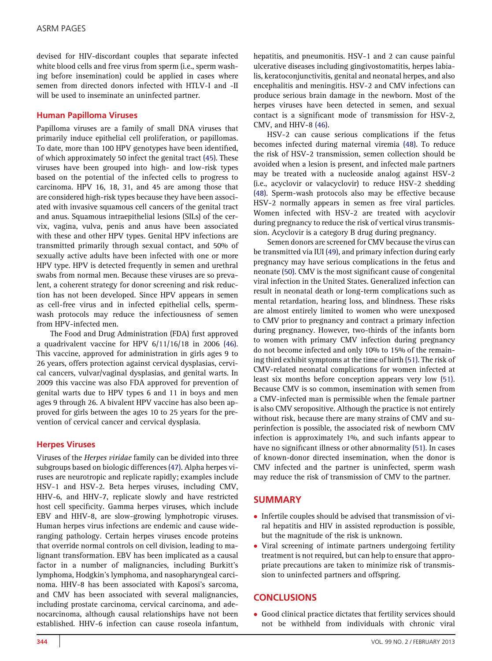devised for HIV-discordant couples that separate infected white blood cells and free virus from sperm (i.e., sperm washing before insemination) could be applied in cases where semen from directed donors infected with HTLV-I and -II will be used to inseminate an uninfected partner.

### Human Papilloma Viruses

Papilloma viruses are a family of small DNA viruses that primarily induce epithelial cell proliferation, or papillomas. To date, more than 100 HPV genotypes have been identified, of which approximately 50 infect the genital tract [\(45\).](#page-6-0) These viruses have been grouped into high- and low-risk types based on the potential of the infected cells to progress to carcinoma. HPV 16, 18, 31, and 45 are among those that are considered high-risk types because they have been associated with invasive squamous cell cancers of the genital tract and anus. Squamous intraepithelial lesions (SILs) of the cervix, vagina, vulva, penis and anus have been associated with these and other HPV types. Genital HPV infections are transmitted primarily through sexual contact, and 50% of sexually active adults have been infected with one or more HPV type. HPV is detected frequently in semen and urethral swabs from normal men. Because these viruses are so prevalent, a coherent strategy for donor screening and risk reduction has not been developed. Since HPV appears in semen as cell-free virus and in infected epithelial cells, spermwash protocols may reduce the infectiousness of semen from HPV-infected men.

The Food and Drug Administration (FDA) first approved a quadrivalent vaccine for HPV 6/11/16/18 in 2006 [\(46\).](#page-6-0) This vaccine, approved for administration in girls ages 9 to 26 years, offers protection against cervical dysplasias, cervical cancers, vulvar/vaginal dysplasias, and genital warts. In 2009 this vaccine was also FDA approved for prevention of genital warts due to HPV types 6 and 11 in boys and men ages 9 through 26. A bivalent HPV vaccine has also been approved for girls between the ages 10 to 25 years for the prevention of cervical cancer and cervical dysplasia.

#### Herpes Viruses

Viruses of the Herpes viridae family can be divided into three subgroups based on biologic differences[\(47\).](#page-6-0) Alpha herpes viruses are neurotropic and replicate rapidly; examples include HSV-1 and HSV-2. Beta herpes viruses, including CMV, HHV-6, and HHV-7, replicate slowly and have restricted host cell specificity. Gamma herpes viruses, which include EBV and HHV-8, are slow-growing lymphotropic viruses. Human herpes virus infections are endemic and cause wideranging pathology. Certain herpes viruses encode proteins that override normal controls on cell division, leading to malignant transformation. EBV has been implicated as a causal factor in a number of malignancies, including Burkitt's lymphoma, Hodgkin's lymphoma, and nasopharyngeal carcinoma. HHV-8 has been associated with Kaposi's sarcoma, and CMV has been associated with several malignancies, including prostate carcinoma, cervical carcinoma, and adenocarcinoma, although causal relationships have not been established. HHV-6 infection can cause roseola infantum,

hepatitis, and pneumonitis. HSV-1 and 2 can cause painful ulcerative diseases including gingivostomatitis, herpes labialis, keratoconjunctivitis, genital and neonatal herpes, and also encephalitis and meningitis. HSV-2 and CMV infections can produce serious brain damage in the newborn. Most of the herpes viruses have been detected in semen, and sexual contact is a significant mode of transmission for HSV-2, CMV, and HHV-8 [\(46\).](#page-6-0)

HSV-2 can cause serious complications if the fetus becomes infected during maternal viremia [\(48\)](#page-6-0). To reduce the risk of HSV-2 transmission, semen collection should be avoided when a lesion is present, and infected male partners may be treated with a nucleoside analog against HSV-2 (i.e., acyclovir or valacyclovir) to reduce HSV-2 shedding [\(48\).](#page-6-0) Sperm-wash protocols also may be effective because HSV-2 normally appears in semen as free viral particles. Women infected with HSV-2 are treated with acyclovir during pregnancy to reduce the risk of vertical virus transmission. Acyclovir is a category B drug during pregnancy.

Semen donors are screened for CMV because the virus can be transmitted via IUI [\(49\)](#page-6-0), and primary infection during early pregnancy may have serious complications in the fetus and neonate [\(50\).](#page-6-0) CMV is the most significant cause of congenital viral infection in the United States. Generalized infection can result in neonatal death or long-term complications such as mental retardation, hearing loss, and blindness. These risks are almost entirely limited to women who were unexposed to CMV prior to pregnancy and contract a primary infection during pregnancy. However, two-thirds of the infants born to women with primary CMV infection during pregnancy do not become infected and only 10% to 15% of the remaining third exhibit symptoms at the time of birth [\(51\)](#page-6-0). The risk of CMV-related neonatal complications for women infected at least six months before conception appears very low [\(51\).](#page-6-0) Because CMV is so common, insemination with semen from a CMV-infected man is permissible when the female partner is also CMV seropositive. Although the practice is not entirely without risk, because there are many strains of CMV and superinfection is possible, the associated risk of newborn CMV infection is approximately 1%, and such infants appear to have no significant illness or other abnormality [\(51\)](#page-6-0). In cases of known-donor directed insemination, when the donor is CMV infected and the partner is uninfected, sperm wash may reduce the risk of transmission of CMV to the partner.

### SUMMARY

- Infertile couples should be advised that transmission of viral hepatitis and HIV in assisted reproduction is possible, but the magnitude of the risk is unknown.
- Viral screening of intimate partners undergoing fertility treatment is not required, but can help to ensure that appropriate precautions are taken to minimize risk of transmission to uninfected partners and offspring.

### **CONCLUSIONS**

 Good clinical practice dictates that fertility services should not be withheld from individuals with chronic viral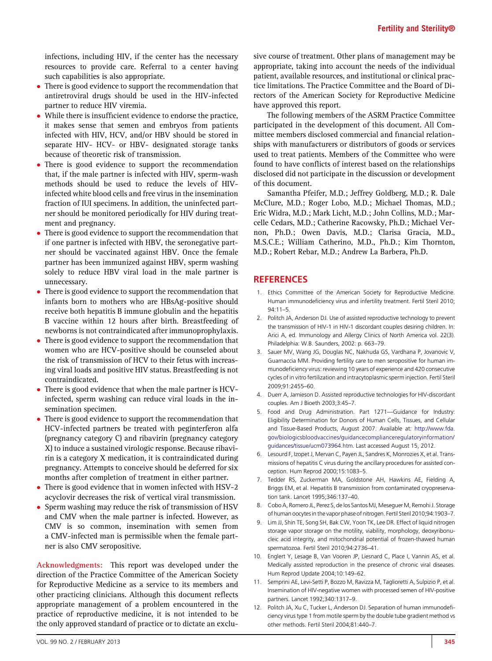<span id="page-5-0"></span>infections, including HIV, if the center has the necessary resources to provide care. Referral to a center having such capabilities is also appropriate.

- There is good evidence to support the recommendation that antiretroviral drugs should be used in the HIV-infected partner to reduce HIV viremia.
- While there is insufficient evidence to endorse the practice, it makes sense that semen and embryos from patients infected with HIV, HCV, and/or HBV should be stored in separate HIV- HCV- or HBV- designated storage tanks because of theoretic risk of transmission.
- There is good evidence to support the recommendation that, if the male partner is infected with HIV, sperm-wash methods should be used to reduce the levels of HIVinfected white blood cells and free virus in the insemination fraction of IUI specimens. In addition, the uninfected partner should be monitored periodically for HIV during treatment and pregnancy.
- There is good evidence to support the recommendation that if one partner is infected with HBV, the seronegative partner should be vaccinated against HBV. Once the female partner has been immunized against HBV, sperm washing solely to reduce HBV viral load in the male partner is unnecessary.
- There is good evidence to support the recommendation that infants born to mothers who are HBsAg-positive should receive both hepatitis B immune globulin and the hepatitis B vaccine within 12 hours after birth. Breastfeeding of newborns is not contraindicated after immunoprophylaxis.
- There is good evidence to support the recommendation that women who are HCV-positive should be counseled about the risk of transmission of HCV to their fetus with increasing viral loads and positive HIV status. Breastfeeding is not contraindicated.
- There is good evidence that when the male partner is HCVinfected, sperm washing can reduce viral loads in the insemination specimen.
- There is good evidence to support the recommendation that HCV-infected partners be treated with peginterferon alfa (pregnancy category C) and ribavirin (pregnancy category X) to induce a sustained virologic response. Because ribavirin is a category X medication, it is contraindicated during pregnancy. Attempts to conceive should be deferred for six months after completion of treatment in either partner.
- There is good evidence that in women infected with HSV-2 acyclovir decreases the risk of vertical viral transmission.
- Sperm washing may reduce the risk of transmission of HSV and CMV when the male partner is infected. However, as CMV is so common, insemination with semen from a CMV-infected man is permissible when the female partner is also CMV seropositive.

Acknowledgments: This report was developed under the direction of the Practice Committee of the American Society for Reproductive Medicine as a service to its members and other practicing clinicians. Although this document reflects appropriate management of a problem encountered in the practice of reproductive medicine, it is not intended to be the only approved standard of practice or to dictate an exclusive course of treatment. Other plans of management may be appropriate, taking into account the needs of the individual patient, available resources, and institutional or clinical practice limitations. The Practice Committee and the Board of Directors of the American Society for Reproductive Medicine have approved this report.

The following members of the ASRM Practice Committee participated in the development of this document. All Committee members disclosed commercial and financial relationships with manufacturers or distributors of goods or services used to treat patients. Members of the Committee who were found to have conflicts of interest based on the relationships disclosed did not participate in the discussion or development of this document.

Samantha Pfeifer, M.D.; Jeffrey Goldberg, M.D.; R. Dale McClure, M.D.; Roger Lobo, M.D.; Michael Thomas, M.D.; Eric Widra, M.D.; Mark Licht, M.D.; John Collins, M.D.; Marcelle Cedars, M.D.; Catherine Racowsky, Ph.D.; Michael Vernon, Ph.D.; Owen Davis, M.D.; Clarisa Gracia, M.D., M.S.C.E.; William Catherino, M.D., Ph.D.; Kim Thornton, M.D.; Robert Rebar, M.D.; Andrew La Barbera, Ph.D.

## **REFERENCES**

- 1. Ethics Committee of the American Society for Reproductive Medicine. Human immunodeficiency virus and infertility treatment. Fertil Steril 2010; 94:11–5.
- 2. Politch JA, Anderson DJ. Use of assisted reproductive technology to prevent the transmission of HIV-1 in HIV-1 discordant couples desiring children. In: Arici A, ed. Immunology and Allergy Clinics of North America vol. 22(3). Philadelphia: W.B. Saunders, 2002: p. 663–79.
- 3. Sauer MV, Wang JG, Douglas NC, Nakhuda GS, Vardhana P, Jovanovic V, Guarnaccia MM. Providing fertility care to men seropositive for human immunodeficiency virus: reviewing 10 years of experience and 420 consecutive cycles of in vitro fertilization and intracytoplasmic sperm injection. Fertil Steril 2009;91:2455–60.
- 4. Duerr A, Jamieson D. Assisted reproductive technologies for HIV-discordant couples. Am J Bioeth 2003;3:45–7.
- 5. Food and Drug Administration. Part 1271—Guidance for Industry: Eligibility Determination for Donors of Human Cells, Tissues, and Cellular and Tissue-Based Products, August 2007. Available at: [http://www.fda.](http://www.fda.gov/biologicsbloodvaccines/guidancecomplianceregulatoryinformation/guidances/tissue/ucm073964.htm) [gov/biologicsbloodvaccines/guidancecomplianceregulatoryinformation/](http://www.fda.gov/biologicsbloodvaccines/guidancecomplianceregulatoryinformation/guidances/tissue/ucm073964.htm) [guidances/tissue/ucm073964.htm](http://www.fda.gov/biologicsbloodvaccines/guidancecomplianceregulatoryinformation/guidances/tissue/ucm073964.htm). Last accessed August 15, 2012.
- 6. Lesourd F, Izopet J, Mervan C, Payen JL, Sandres K, Monrozies X, et al. Transmissions of hepatitis C virus during the ancillary procedures for assisted conception. Hum Reprod 2000;15:1083–5.
- 7. Tedder RS, Zuckerman MA, Goldstone AH, Hawkins AE, Fielding A, Briggs EM, et al. Hepatitis B transmission from contaminated cryopreservation tank. Lancet 1995;346:137–40.
- 8. Cobo A, Romero JL, Perez S, de los Santos MJ, Meseguer M, Remohi J. Storage of human oocytes in the vapor phase of nitrogen. Fertil Steril 2010;94:1903–7.
- 9. Lim JJ, Shin TE, Song SH, Bak CW, Yoon TK, Lee DR. Effect of liquid nitrogen storage vapor storage on the motility, viability, morphology, deoxyribonucleic acid integrity, and mitochondrial potential of frozen-thawed human spermatozoa. Fertil Steril 2010;94:2736–41.
- 10. Englert Y, Lesage B, Van Vooren JP, Liesnard C, Place I, Vannin AS, et al. Medically assisted reproduction in the presence of chronic viral diseases. Hum Reprod Update 2004;10:149–62.
- 11. Semprini AE, Levi-Setti P, Bozzo M, Ravizza M, Taglioretti A, Sulpizio P, et al. Insemination of HIV-negative women with processed semen of HIV-positive partners. Lancet 1992;340:1317–9.
- 12. Politch JA, Xu C, Tucker L, Anderson DJ. Separation of human immunodeficiency virus type 1 from motile sperm by the double tube gradient method vs other methods. Fertil Steril 2004;81:440–7.